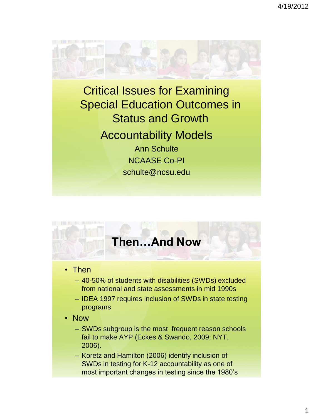4/19/2012



Critical Issues for Examining Special Education Outcomes in Status and Growth Accountability Models Ann Schulte NCAASE Co-PI schulte@ncsu.edu

### **Then…And Now**

- Then
	- 40-50% of students with disabilities (SWDs) excluded from national and state assessments in mid 1990s
	- IDEA 1997 requires inclusion of SWDs in state testing programs
- Now
	- SWDs subgroup is the most frequent reason schools fail to make AYP (Eckes & Swando, 2009; NYT, 2006).
	- Koretz and Hamilton (2006) identify inclusion of SWDs in testing for K-12 accountability as one of most important changes in testing since the 1980's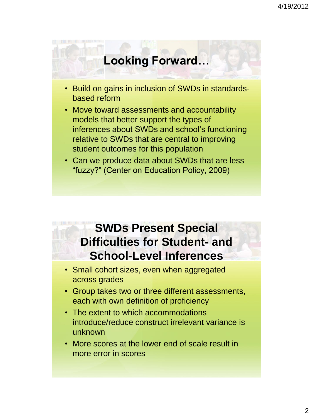## **Looking Forward…**

- Build on gains in inclusion of SWDs in standardsbased reform
- Move toward assessments and accountability models that better support the types of inferences about SWDs and school's functioning relative to SWDs that are central to improving student outcomes for this population
- Can we produce data about SWDs that are less "fuzzy?" (Center on Education Policy, 2009)

### **SWDs Present Special Difficulties for Student- and School-Level Inferences**

- Small cohort sizes, even when aggregated across grades
- Group takes two or three different assessments, each with own definition of proficiency
- The extent to which accommodations introduce/reduce construct irrelevant variance is unknown
- More scores at the lower end of scale result in more error in scores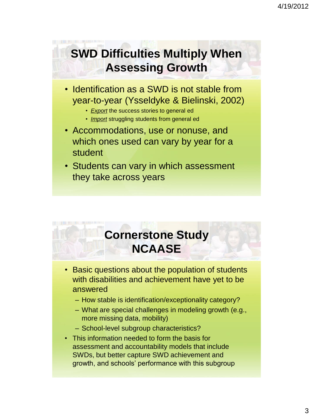# **SWD Difficulties Multiply When Assessing Growth**

- Identification as a SWD is not stable from year-to-year (Ysseldyke & Bielinski, 2002)
	- *Export* the success stories to general ed
	- *Import* struggling students from general ed
- Accommodations, use or nonuse, and which ones used can vary by year for a student
- Students can vary in which assessment they take across years

# **Cornerstone Study NCAASE**

- Basic questions about the population of students with disabilities and achievement have yet to be answered
	- How stable is identification/exceptionality category?
	- What are special challenges in modeling growth (e.g., more missing data, mobility)
	- School-level subgroup characteristics?
- This information needed to form the basis for assessment and accountability models that include SWDs, but better capture SWD achievement and growth, and schools' performance with this subgroup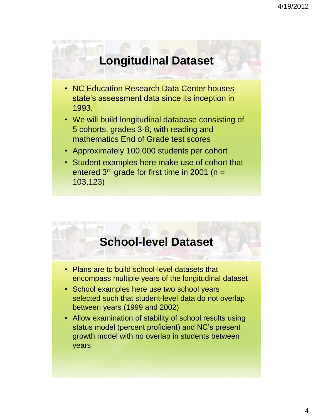#### **Longitudinal Dataset**

- NC Education Research Data Center houses state's assessment data since its inception in 1993.
- We will build longitudinal database consisting of 5 cohorts, grades 3-8, with reading and mathematics End of Grade test scores
- Approximately 100,000 students per cohort
- Student examples here make use of cohort that entered  $3<sup>rd</sup>$  grade for first time in 2001 (n = 103,123)

#### **School-level Dataset**

- Plans are to build school-level datasets that encompass multiple years of the longitudinal dataset
- School examples here use two school years selected such that student-level data do not overlap between years (1999 and 2002)
- Allow examination of stability of school results using status model (percent proficient) and NC's present growth model with no overlap in students between years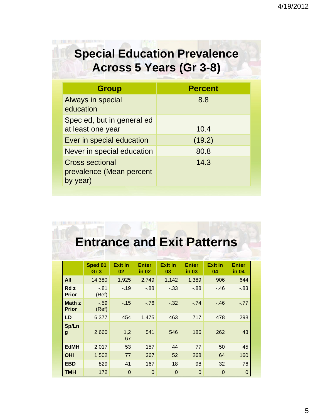# **Special Education Prevalence Across 5 Years (Gr 3-8)**

| <b>Group</b>                                                   | <b>Percent</b> |
|----------------------------------------------------------------|----------------|
| Always in special<br>education                                 | 8.8            |
| Spec ed, but in general ed<br>at least one year                | 10.4           |
| Ever in special education                                      | (19.2)         |
| Never in special education                                     | 80.8           |
| <b>Cross sectional</b><br>prevalence (Mean percent<br>by year) | 14.3           |

# **Entrance and Exit Patterns**

|                        | Sped 01<br>Gr 3 | <b>Exit in</b><br>02 | <b>Enter</b><br>in 02 | <b>Exit in</b><br>03 | <b>Enter</b><br>in 03 | <b>Exit in</b><br>04 | <b>Enter</b><br>in 04 |
|------------------------|-----------------|----------------------|-----------------------|----------------------|-----------------------|----------------------|-----------------------|
| All                    | 14,380          | 1,925                | 2,749                 | 1,142                | 1,389                 | 906                  | 644                   |
| Rd z<br>Prior          | $-.81$<br>(Ref) | $-.19$               | $-0.88$               | $-.33$               | $-0.88$               | $-.46$               | $-.83$                |
| Math z<br><b>Prior</b> | $-.59$<br>(Ref) | $-.15$               | $-76$                 | $-.32$               | $-.74$                | $-.46$               | $-.77$                |
| LD                     | 6,377           | 454                  | 1,475                 | 463                  | 717                   | 478                  | 298                   |
| Sp/Ln<br>g             | 2,660           | 1,2<br>67            | 541                   | 546                  | 186                   | 262                  | 43                    |
| <b>EdMH</b>            | 2,017           | 53                   | 157                   | 44                   | 77                    | 50                   | 45                    |
| <b>OHI</b>             | 1,502           | 77                   | 367                   | 52                   | 268                   | 64                   | 160                   |
| <b>EBD</b>             | 829             | 41                   | 167                   | 18                   | 98                    | 32                   | 76                    |
| <b>TMH</b>             | 172             | $\Omega$             | $\overline{0}$        | $\Omega$             | $\mathbf 0$           | $\Omega$             | 0                     |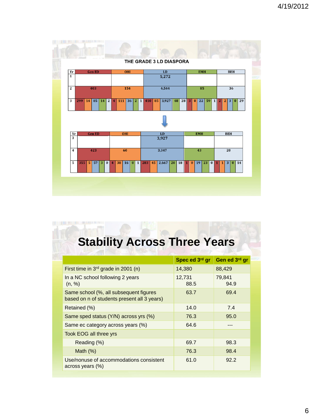

# **Stability Across Three Years**

|                                                                                       | Spec ed 3rd gr | Gen ed 3rd gr  |  |
|---------------------------------------------------------------------------------------|----------------|----------------|--|
| First time in 3 <sup>rd</sup> grade in 2001 (n)                                       | 14,380         | 88,429         |  |
| In a NC school following 2 years<br>(n, %)                                            | 12,731<br>88.5 | 79,841<br>94.9 |  |
| Same school (%, all subsequent figures<br>based on n of students present all 3 years) | 63.7           | 69.4           |  |
| Retained (%)                                                                          | 14.0           | 7.4            |  |
| Same sped status (Y/N) across yrs (%)                                                 | 76.3           | 95.0           |  |
| Same ec category across years (%)                                                     | 64.6           |                |  |
| Took EOG all three yrs                                                                |                |                |  |
| Reading (%)                                                                           | 69.7           | 98.3           |  |
| Math $(\%)$                                                                           | 76.3           | 98.4           |  |
| Use/nonuse of accommodations consistent<br>across years (%)                           | 61.0           | 92.2           |  |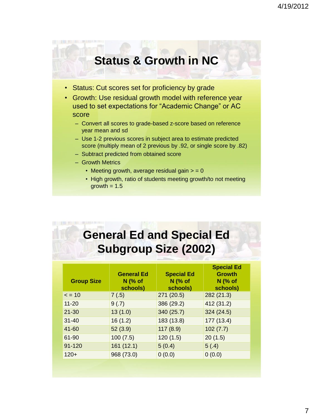## **Status & Growth in NC**

- Status: Cut scores set for proficiency by grade
- Growth: Use residual growth model with reference year used to set expectations for "Academic Change" or AC score
	- Convert all scores to grade-based z-score based on reference year mean and sd
	- Use 1-2 previous scores in subject area to estimate predicted score (multiply mean of 2 previous by .92, or single score by .82)
	- Subtract predicted from obtained score
	- Growth Metrics
		- Meeting growth, average residual gain  $> = 0$
		- High growth, ratio of students meeting growth/to not meeting growth  $= 1.5$

## **General Ed and Special Ed Subgroup Size (2002)**

| <b>Group Size</b> | <b>General Ed</b><br>$N$ (% of<br>schools) | <b>Special Ed</b><br><b>N</b> (% of<br>schools) | <b>Special Ed</b><br><b>Growth</b><br><b>N</b> (% of<br>schools) |
|-------------------|--------------------------------------------|-------------------------------------------------|------------------------------------------------------------------|
| $\leq$ = 10       | 7(.5)                                      | 271 (20.5)                                      | 282(21.3)                                                        |
| $11 - 20$         | 9(.7)                                      | 386 (29.2)                                      | 412 (31.2)                                                       |
| $21 - 30$         | 13(1.0)                                    | 340 (25.7)                                      | 324(24.5)                                                        |
| $31 - 40$         | 16(1.2)                                    | 183 (13.8)                                      | 177 (13.4)                                                       |
| 41-60             | 52(3.9)                                    | 117(8.9)                                        | 102(7.7)                                                         |
| 61-90             | 100(7.5)                                   | 120(1.5)                                        | 20(1.5)                                                          |
| $91 - 120$        | 161(12.1)                                  | 5(0.4)                                          | 5(0.4)                                                           |
| $120+$            | 968 (73.0)                                 | 0(0.0)                                          | 0(0.0)                                                           |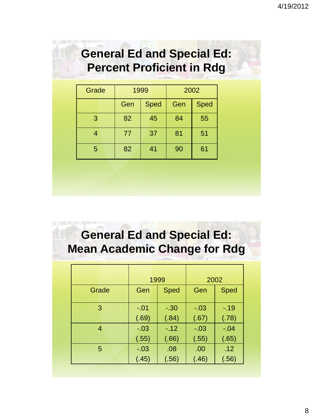## **General Ed and Special Ed: Percent Proficient in Rdg**

| Grade | 1999 |             | 2002 |             |
|-------|------|-------------|------|-------------|
|       | Gen  | <b>Sped</b> | Gen  | <b>Sped</b> |
| 3     | 82   | 45          | 84   | 55          |
| 4     | 77   | 37          | 81   | 51          |
| 5     | 82   | 41          | 90   | 61          |

## **General Ed and Special Ed: Mean Academic Change for Rdg**

|       | 1999   |             | 2002   |        |
|-------|--------|-------------|--------|--------|
| Grade | Gen    | <b>Sped</b> | Gen    | Sped   |
| 3     | $-.01$ | $-.30$      | $-.03$ | $-19$  |
|       | (.69)  | (.84)       | (.67)  | (.78)  |
| 4     | $-.03$ | $-.12$      | $-.03$ | $-.04$ |
|       | (.55)  | (.66)       | (.55)  | (.65)  |
| 5     | $-.03$ | .08         | .00    | .12    |
|       | (.45)  | (.56)       | (.46)  | (.56)  |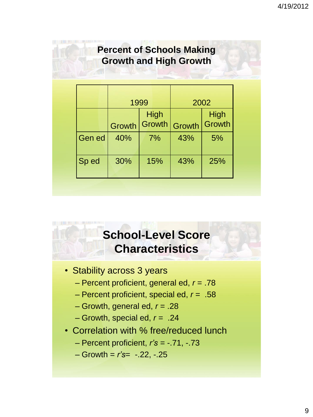#### **Percent of Schools Making Growth and High Growth**

|               | 1999   |  |                | 2002   |                              |
|---------------|--------|--|----------------|--------|------------------------------|
|               | Growth |  | High<br>Growth | Growth | <b>High</b><br><b>Growth</b> |
| <b>Gen ed</b> | 40%    |  | 7%             | 43%    | 5%                           |
| Sp ed         | 30%    |  | 15%            | 43%    | 25%                          |

## **School-Level Score Characteristics**

- Stability across 3 years
	- Percent proficient, general ed, *r* = .78
	- Percent proficient, special ed, *r* = .58
	- Growth, general ed, *r* = .28
	- Growth, special ed, *r* = .24
- Correlation with % free/reduced lunch
	- Percent proficient, *r's* = -.71, -.73
	- Growth = *r's*= -.22, -.25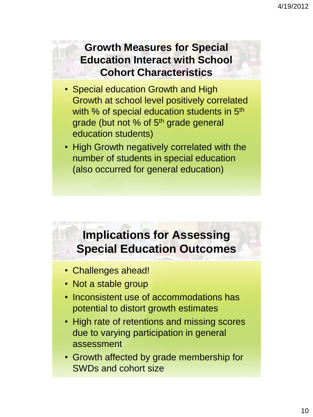#### **Growth Measures for Special Education Interact with School Cohort Characteristics**

- Special education Growth and High Growth at school level positively correlated with % of special education students in 5<sup>th</sup> grade (but not % of 5<sup>th</sup> grade general education students)
- High Growth negatively correlated with the number of students in special education (also occurred for general education)

## **Implications for Assessing Special Education Outcomes**

- Challenges ahead!
- Not a stable group
- Inconsistent use of accommodations has potential to distort growth estimates
- High rate of retentions and missing scores due to varying participation in general assessment
- Growth affected by grade membership for SWDs and cohort size